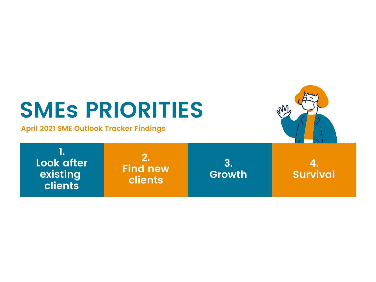# **SMEs PRIORITIES**

**April 2021 SME Outlook Tracker Findings**



**1. Look after existing clients**

**2. Find new clients**

**3. Growth**

**4. Survival**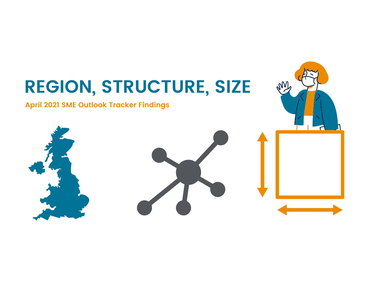# **REGION, STRUCTURE, SIZE** m **April 2021 SME Outlook Tracker Findings**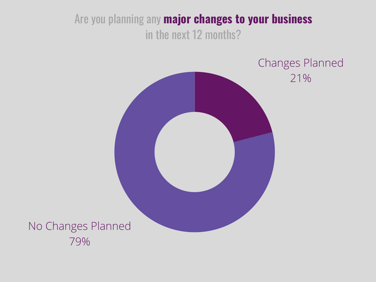Are you planning any **major changes to your business** in the next 12 months?

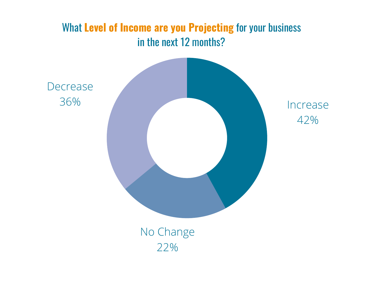# What **Level of Income are you Projecting** for your business in the next 12 months?

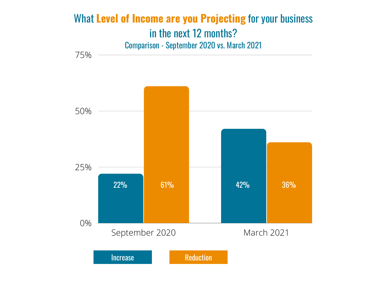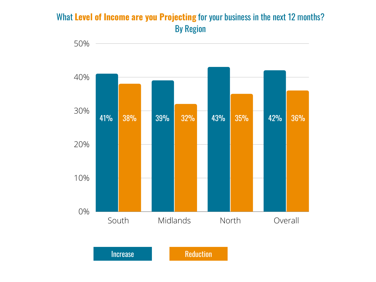#### What **Level of Income are you Projecting** for your business in the next 12 months? By Region



Increase Reduction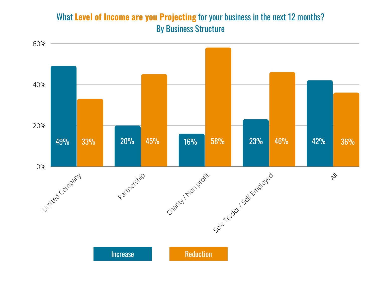#### What **Level of Income are you Projecting** for your business in the next 12 months? By Business Structure

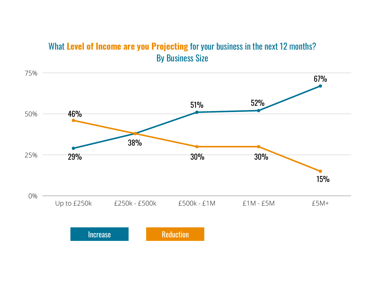#### What **Level of Income are you Projecting** for your business in the next 12 months? By Business Size

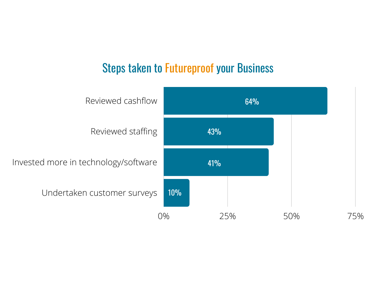# Steps taken to Futureproof your Business

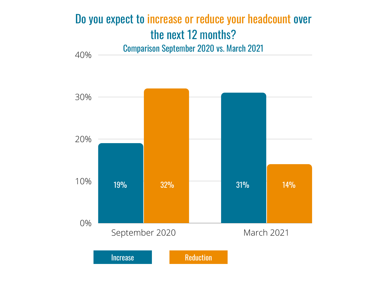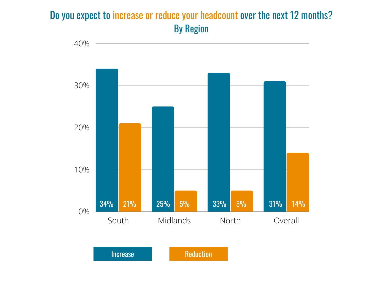# Do you expect to increase or reduce your headcount over the next 12 months? By Region



Increase Reduction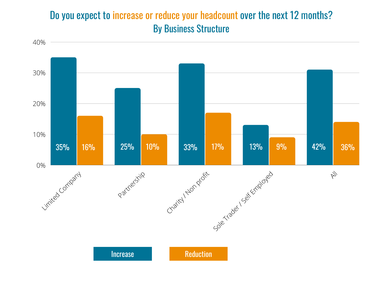## Do you expect to increase or reduce your headcount over the next 12 months? By Business Structure